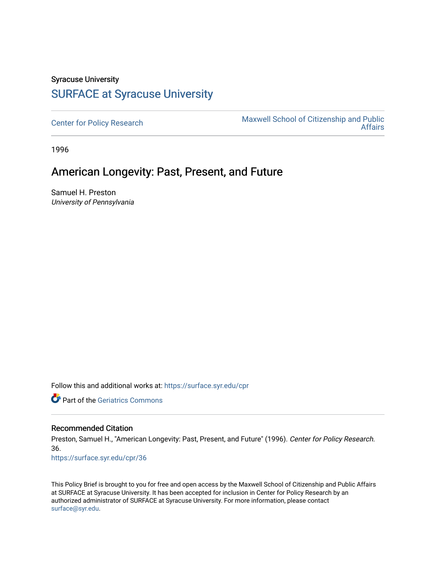# Syracuse University [SURFACE at Syracuse University](https://surface.syr.edu/)

[Center for Policy Research](https://surface.syr.edu/cpr) Maxwell School of Citizenship and Public<br>Affairs [Affairs](https://surface.syr.edu/maxwell) 

1996

# American Longevity: Past, Present, and Future

Samuel H. Preston University of Pennsylvania

Follow this and additional works at: [https://surface.syr.edu/cpr](https://surface.syr.edu/cpr?utm_source=surface.syr.edu%2Fcpr%2F36&utm_medium=PDF&utm_campaign=PDFCoverPages) 

**C** Part of the Geriatrics Commons

#### Recommended Citation

Preston, Samuel H., "American Longevity: Past, Present, and Future" (1996). Center for Policy Research. 36.

[https://surface.syr.edu/cpr/36](https://surface.syr.edu/cpr/36?utm_source=surface.syr.edu%2Fcpr%2F36&utm_medium=PDF&utm_campaign=PDFCoverPages) 

This Policy Brief is brought to you for free and open access by the Maxwell School of Citizenship and Public Affairs at SURFACE at Syracuse University. It has been accepted for inclusion in Center for Policy Research by an authorized administrator of SURFACE at Syracuse University. For more information, please contact [surface@syr.edu.](mailto:surface@syr.edu)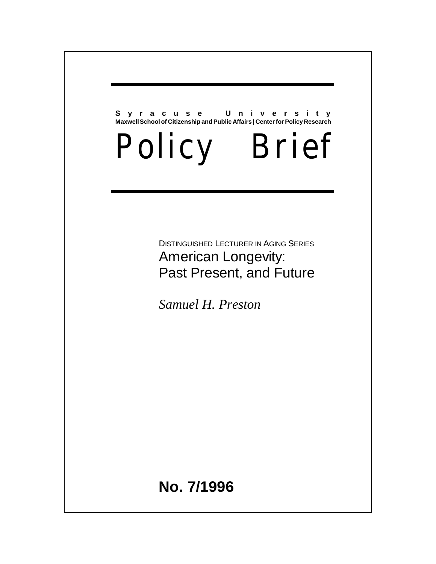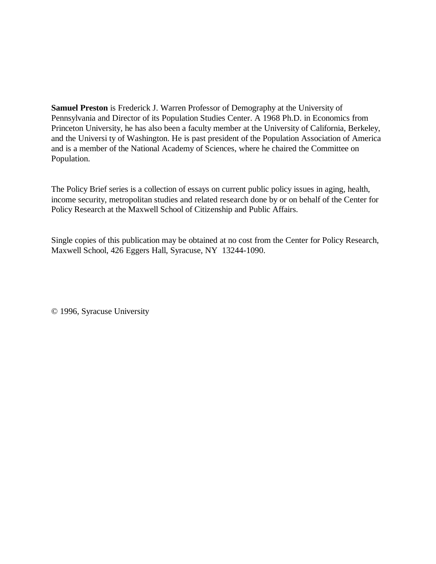**Samuel Preston** is Frederick J. Warren Professor of Demography at the University of Pennsylvania and Director of its Population Studies Center. A 1968 Ph.D. in Economics from Princeton University, he has also been a faculty member at the University of California, Berkeley, and the Universi ty of Washington. He is past president of the Population Association of America and is a member of the National Academy of Sciences, where he chaired the Committee on Population.

The Policy Brief series is a collection of essays on current public policy issues in aging, health, income security, metropolitan studies and related research done by or on behalf of the Center for Policy Research at the Maxwell School of Citizenship and Public Affairs.

Single copies of this publication may be obtained at no cost from the Center for Policy Research, Maxwell School, 426 Eggers Hall, Syracuse, NY 13244-1090.

© 1996, Syracuse University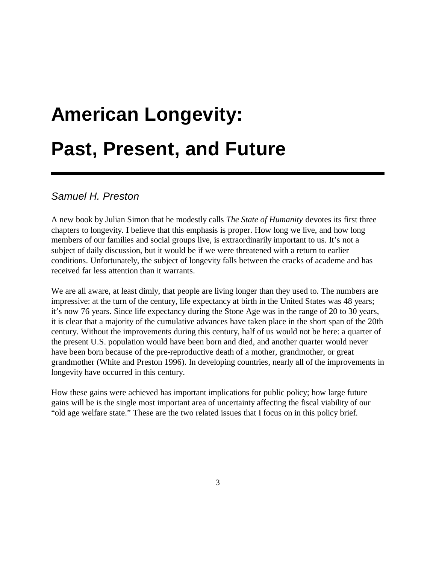# **American Longevity: Past, Present, and Future**

## *Samuel H. Preston*

A new book by Julian Simon that he modestly calls *The State of Humanity* devotes its first three chapters to longevity. I believe that this emphasis is proper. How long we live, and how long members of our families and social groups live, is extraordinarily important to us. It's not a subject of daily discussion, but it would be if we were threatened with a return to earlier conditions. Unfortunately, the subject of longevity falls between the cracks of academe and has received far less attention than it warrants.

We are all aware, at least dimly, that people are living longer than they used to. The numbers are impressive: at the turn of the century, life expectancy at birth in the United States was 48 years; it's now 76 years. Since life expectancy during the Stone Age was in the range of 20 to 30 years, it is clear that a majority of the cumulative advances have taken place in the short span of the 20th century. Without the improvements during this century, half of us would not be here: a quarter of the present U.S. population would have been born and died, and another quarter would never have been born because of the pre-reproductive death of a mother, grandmother, or great grandmother (White and Preston 1996). In developing countries, nearly all of the improvements in longevity have occurred in this century.

How these gains were achieved has important implications for public policy; how large future gains will be is the single most important area of uncertainty affecting the fiscal viability of our "old age welfare state." These are the two related issues that I focus on in this policy brief.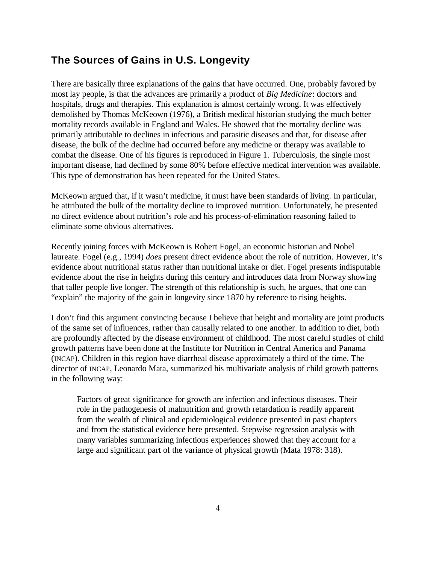## **The Sources of Gains in U.S. Longevity**

There are basically three explanations of the gains that have occurred. One, probably favored by most lay people, is that the advances are primarily a product of *Big Medicine*: doctors and hospitals, drugs and therapies. This explanation is almost certainly wrong. It was effectively demolished by Thomas McKeown (1976), a British medical historian studying the much better mortality records available in England and Wales. He showed that the mortality decline was primarily attributable to declines in infectious and parasitic diseases and that, for disease after disease, the bulk of the decline had occurred before any medicine or therapy was available to combat the disease. One of his figures is reproduced in Figure 1. Tuberculosis, the single most important disease, had declined by some 80% before effective medical intervention was available. This type of demonstration has been repeated for the United States.

McKeown argued that, if it wasn't medicine, it must have been standards of living. In particular, he attributed the bulk of the mortality decline to improved nutrition. Unfortunately, he presented no direct evidence about nutrition's role and his process-of-elimination reasoning failed to eliminate some obvious alternatives.

Recently joining forces with McKeown is Robert Fogel, an economic historian and Nobel laureate. Fogel (e.g., 1994) *does* present direct evidence about the role of nutrition. However, it's evidence about nutritional status rather than nutritional intake or diet. Fogel presents indisputable evidence about the rise in heights during this century and introduces data from Norway showing that taller people live longer. The strength of this relationship is such, he argues, that one can "explain" the majority of the gain in longevity since 1870 by reference to rising heights.

I don't find this argument convincing because I believe that height and mortality are joint products of the same set of influences, rather than causally related to one another. In addition to diet, both are profoundly affected by the disease environment of childhood. The most careful studies of child growth patterns have been done at the Institute for Nutrition in Central America and Panama (INCAP). Children in this region have diarrheal disease approximately a third of the time. The director of INCAP, Leonardo Mata, summarized his multivariate analysis of child growth patterns in the following way:

Factors of great significance for growth are infection and infectious diseases. Their role in the pathogenesis of malnutrition and growth retardation is readily apparent from the wealth of clinical and epidemiological evidence presented in past chapters and from the statistical evidence here presented. Stepwise regression analysis with many variables summarizing infectious experiences showed that they account for a large and significant part of the variance of physical growth (Mata 1978: 318).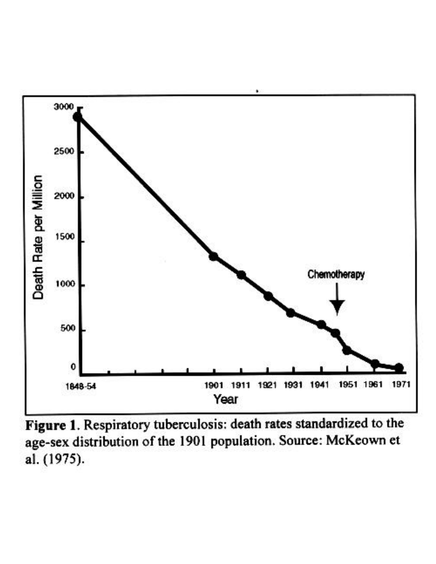

Figure 1. Respiratory tuberculosis: death rates standardized to the age-sex distribution of the 1901 population. Source: McKeown et al. (1975).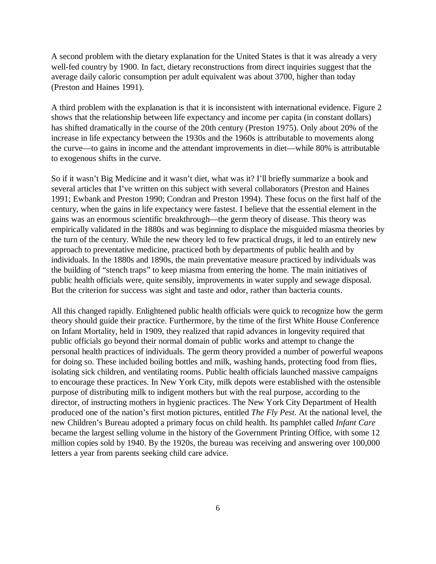A second problem with the dietary explanation for the United States is that it was already a very well-fed country by 1900. In fact, dietary reconstructions from direct inquiries suggest that the average daily caloric consumption per adult equivalent was about 3700, higher than today (Preston and Haines 1991).

A third problem with the explanation is that it is inconsistent with international evidence. Figure 2 shows that the relationship between life expectancy and income per capita (in constant dollars) has shifted dramatically in the course of the 20th century (Preston 1975). Only about 20% of the increase in life expectancy between the 1930s and the 1960s is attributable to movements along the curve— to gains in income and the attendant improvements in diet— while 80% is attributable to exogenous shifts in the curve.

So if it wasn't Big Medicine and it wasn't diet, what was it? I'll briefly summarize a book and several articles that I've written on this subject with several collaborators (Preston and Haines 1991; Ewbank and Preston 1990; Condran and Preston 1994). These focus on the first half of the century, when the gains in life expectancy were fastest. I believe that the essential element in the gains was an enormous scientific breakthrough— the germ theory of disease. This theory was empirically validated in the 1880s and was beginning to displace the misguided miasma theories by the turn of the century. While the new theory led to few practical drugs, it led to an entirely new approach to preventative medicine, practiced both by departments of public health and by individuals. In the 1880s and 1890s, the main preventative measure practiced by individuals was the building of "stench traps" to keep miasma from entering the home. The main initiatives of public health officials were, quite sensibly, improvements in water supply and sewage disposal. But the criterion for success was sight and taste and odor, rather than bacteria counts.

All this changed rapidly. Enlightened public health officials were quick to recognize how the germ theory should guide their practice. Furthermore, by the time of the first White House Conference on Infant Mortality, held in 1909, they realized that rapid advances in longevity required that public officials go beyond their normal domain of public works and attempt to change the personal health practices of individuals. The germ theory provided a number of powerful weapons for doing so. These included boiling bottles and milk, washing hands, protecting food from flies, isolating sick children, and ventilating rooms. Public health officials launched massive campaigns to encourage these practices. In New York City, milk depots were established with the ostensible purpose of distributing milk to indigent mothers but with the real purpose, according to the director, of instructing mothers in hygienic practices. The New York City Department of Health produced one of the nation's first motion pictures, entitled *The Fly Pest*. At the national level, the new Children's Bureau adopted a primary focus on child health. Its pamphlet called *Infant Care* became the largest selling volume in the history of the Government Printing Office, with some 12 million copies sold by 1940. By the 1920s, the bureau was receiving and answering over 100,000 letters a year from parents seeking child care advice.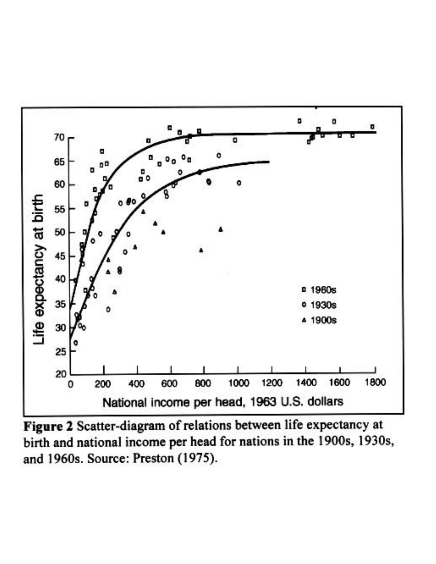

Figure 2 Scatter-diagram of relations between life expectancy at birth and national income per head for nations in the 1900s, 1930s, and 1960s. Source: Preston (1975).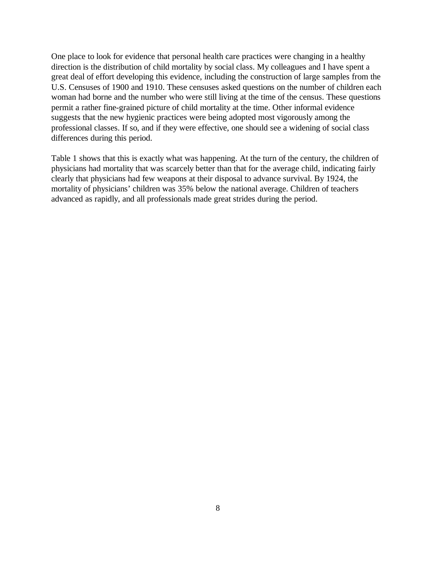One place to look for evidence that personal health care practices were changing in a healthy direction is the distribution of child mortality by social class. My colleagues and I have spent a great deal of effort developing this evidence, including the construction of large samples from the U.S. Censuses of 1900 and 1910. These censuses asked questions on the number of children each woman had borne and the number who were still living at the time of the census. These questions permit a rather fine-grained picture of child mortality at the time. Other informal evidence suggests that the new hygienic practices were being adopted most vigorously among the professional classes. If so, and if they were effective, one should see a widening of social class differences during this period.

Table 1 shows that this is exactly what was happening. At the turn of the century, the children of physicians had mortality that was scarcely better than that for the average child, indicating fairly clearly that physicians had few weapons at their disposal to advance survival. By 1924, the mortality of physicians' children was 35% below the national average. Children of teachers advanced as rapidly, and all professionals made great strides during the period.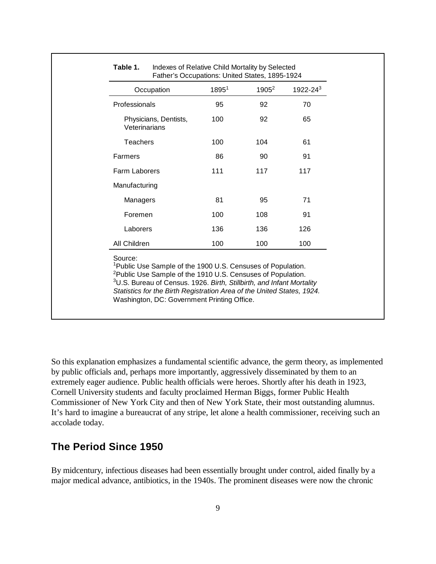| Professionals<br>Physicians, Dentists,<br>Veterinarians<br><b>Teachers</b><br>Farmers | 95<br>100<br>100 | 92<br>92 | 70<br>65 |
|---------------------------------------------------------------------------------------|------------------|----------|----------|
|                                                                                       |                  |          |          |
|                                                                                       |                  |          |          |
|                                                                                       |                  | 104      | 61       |
|                                                                                       | 86               | 90       | 91       |
| <b>Farm Laborers</b>                                                                  | 111              | 117      | 117      |
| Manufacturing                                                                         |                  |          |          |
| Managers                                                                              | 81               | 95       | 71       |
| Foremen                                                                               | 100              | 108      | 91       |
| Laborers                                                                              | 136              | 136      | 126      |
| All Children                                                                          | 100              | 100      | 100      |

#### **Table 1.** Indexes of Relative Child Mortality by Selected Father's Occupations: United States, 1895-1924

So this explanation emphasizes a fundamental scientific advance, the germ theory, as implemented by public officials and, perhaps more importantly, aggressively disseminated by them to an extremely eager audience. Public health officials were heroes. Shortly after his death in 1923, Cornell University students and faculty proclaimed Herman Biggs, former Public Health Commissioner of New York City and then of New York State, their most outstanding alumnus. It's hard to imagine a bureaucrat of any stripe, let alone a health commissioner, receiving such an accolade today.

## **The Period Since 1950**

By midcentury, infectious diseases had been essentially brought under control, aided finally by a major medical advance, antibiotics, in the 1940s. The prominent diseases were now the chronic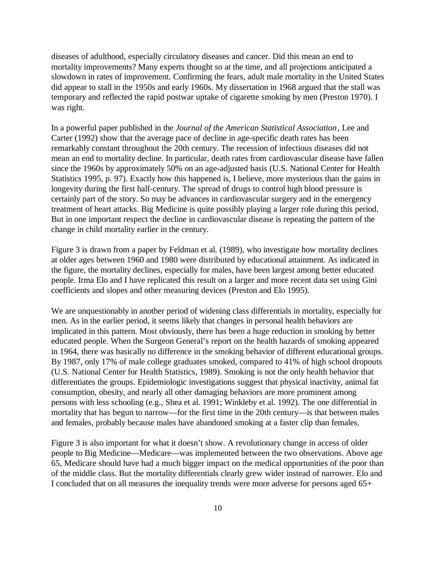diseases of adulthood, especially circulatory diseases and cancer. Did this mean an end to mortality improvements? Many experts thought so at the time, and all projections anticipated a slowdown in rates of improvement. Confirming the fears, adult male mortality in the United States did appear to stall in the 1950s and early 1960s. My dissertation in 1968 argued that the stall was temporary and reflected the rapid postwar uptake of cigarette smoking by men (Preston 1970). I was right.

In a powerful paper published in the *Journal of the American Statistical Association*, Lee and Carter (1992) show that the average pace of decline in age-specific death rates has been remarkably constant throughout the 20th century. The recession of infectious diseases did not mean an end to mortality decline. In particular, death rates from cardiovascular disease have fallen since the 1960s by approximately 50% on an age-adjusted basis (U.S. National Center for Health Statistics 1995, p. 97). Exactly how this happened is, I believe, more mysterious than the gains in longevity during the first half-century. The spread of drugs to control high blood pressure is certainly part of the story. So may be advances in cardiovascular surgery and in the emergency treatment of heart attacks. Big Medicine is quite possibly playing a larger role during this period. But in one important respect the decline in cardiovascular disease is repeating the pattern of the change in child mortality earlier in the century.

Figure 3 is drawn from a paper by Feldman et al. (1989), who investigate how mortality declines at older ages between 1960 and 1980 were distributed by educational attainment. As indicated in the figure, the mortality declines, especially for males, have been largest among better educated people. Irma Elo and I have replicated this result on a larger and more recent data set using Gini coefficients and slopes and other measuring devices (Preston and Elo 1995).

We are unquestionably in another period of widening class differentials in mortality, especially for men. As in the earlier period, it seems likely that changes in personal health behaviors are implicated in this pattern. Most obviously, there has been a huge reduction in smoking by better educated people. When the Surgeon General's report on the health hazards of smoking appeared in 1964, there was basically no difference in the smoking behavior of different educational groups. By 1987, only 17% of male college graduates smoked, compared to 41% of high school dropouts (U.S. National Center for Health Statistics, 1989). Smoking is not the only health behavior that differentiates the groups. Epidemiologic investigations suggest that physical inactivity, animal fat consumption, obesity, and nearly all other damaging behaviors are more prominent among persons with less schooling (e.g., Shea et al. 1991; Winkleby et al. 1992). The one differential in mortality that has begun to narrow— for the first time in the 20th century— is that between males and females, probably because males have abandoned smoking at a faster clip than females.

Figure 3 is also important for what it doesn't show. A revolutionary change in access of older people to Big Medicine— Medicare— was implemented between the two observations. Above age 65, Medicare should have had a much bigger impact on the medical opportunities of the poor than of the middle class. But the mortality differentials clearly grew wider instead of narrower. Elo and I concluded that on all measures the inequality trends were more adverse for persons aged 65+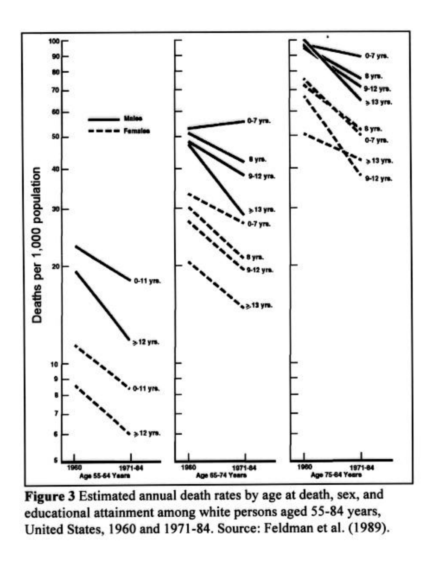

Figure 3 Estimated annual death rates by age at death, sex, and educational attainment among white persons aged 55-84 years, United States, 1960 and 1971-84. Source: Feldman et al. (1989).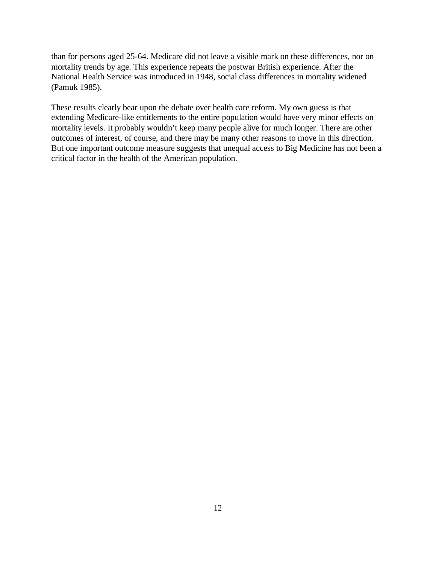than for persons aged 25-64. Medicare did not leave a visible mark on these differences, nor on mortality trends by age. This experience repeats the postwar British experience. After the National Health Service was introduced in 1948, social class differences in mortality widened (Pamuk 1985).

These results clearly bear upon the debate over health care reform. My own guess is that extending Medicare-like entitlements to the entire population would have very minor effects on mortality levels. It probably wouldn't keep many people alive for much longer. There are other outcomes of interest, of course, and there may be many other reasons to move in this direction. But one important outcome measure suggests that unequal access to Big Medicine has not been a critical factor in the health of the American population.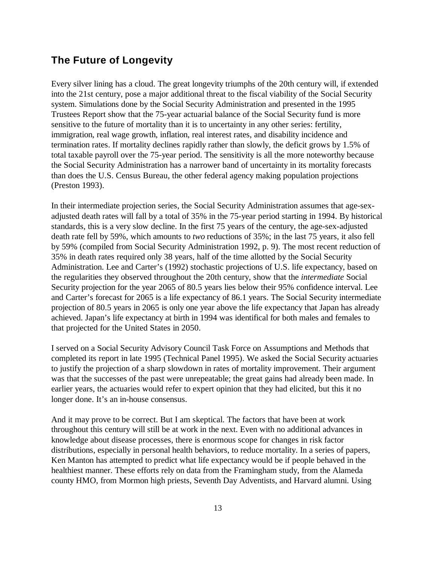## **The Future of Longevity**

Every silver lining has a cloud. The great longevity triumphs of the 20th century will, if extended into the 21st century, pose a major additional threat to the fiscal viability of the Social Security system. Simulations done by the Social Security Administration and presented in the 1995 Trustees Report show that the 75-year actuarial balance of the Social Security fund is more sensitive to the future of mortality than it is to uncertainty in any other series: fertility, immigration, real wage growth, inflation, real interest rates, and disability incidence and termination rates. If mortality declines rapidly rather than slowly, the deficit grows by 1.5% of total taxable payroll over the 75-year period. The sensitivity is all the more noteworthy because the Social Security Administration has a narrower band of uncertainty in its mortality forecasts than does the U.S. Census Bureau, the other federal agency making population projections (Preston 1993).

In their intermediate projection series, the Social Security Administration assumes that age-sexadjusted death rates will fall by a total of 35% in the 75-year period starting in 1994. By historical standards, this is a very slow decline. In the first 75 years of the century, the age-sex-adjusted death rate fell by 59%, which amounts to *two* reductions of 35%; in the last 75 years, it also fell by 59% (compiled from Social Security Administration 1992, p. 9). The most recent reduction of 35% in death rates required only 38 years, half of the time allotted by the Social Security Administration. Lee and Carter's (1992) stochastic projections of U.S. life expectancy, based on the regularities they observed throughout the 20th century, show that the *intermediate* Social Security projection for the year 2065 of 80.5 years lies below their 95% confidence interval. Lee and Carter's forecast for 2065 is a life expectancy of 86.1 years. The Social Security intermediate projection of 80.5 years in 2065 is only one year above the life expectancy that Japan has already achieved. Japan's life expectancy at birth in 1994 was identifical for both males and females to that projected for the United States in 2050.

I served on a Social Security Advisory Council Task Force on Assumptions and Methods that completed its report in late 1995 (Technical Panel 1995). We asked the Social Security actuaries to justify the projection of a sharp slowdown in rates of mortality improvement. Their argument was that the successes of the past were unrepeatable; the great gains had already been made. In earlier years, the actuaries would refer to expert opinion that they had elicited, but this it no longer done. It's an in-house consensus.

And it may prove to be correct. But I am skeptical. The factors that have been at work throughout this century will still be at work in the next. Even with no additional advances in knowledge about disease processes, there is enormous scope for changes in risk factor distributions, especially in personal health behaviors, to reduce mortality. In a series of papers, Ken Manton has attempted to predict what life expectancy would be if people behaved in the healthiest manner. These efforts rely on data from the Framingham study, from the Alameda county HMO, from Mormon high priests, Seventh Day Adventists, and Harvard alumni. Using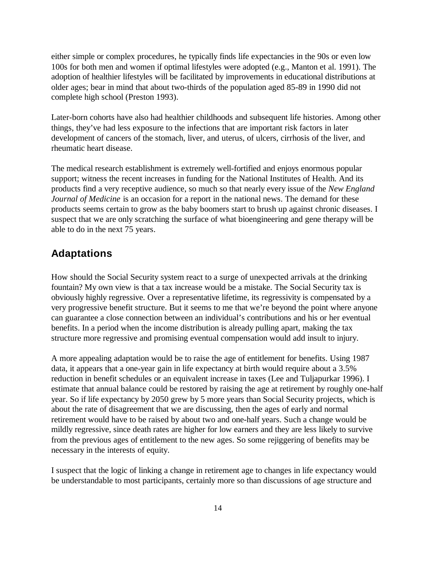either simple or complex procedures, he typically finds life expectancies in the 90s or even low 100s for both men and women if optimal lifestyles were adopted (e.g., Manton et al. 1991). The adoption of healthier lifestyles will be facilitated by improvements in educational distributions at older ages; bear in mind that about two-thirds of the population aged 85-89 in 1990 did not complete high school (Preston 1993).

Later-born cohorts have also had healthier childhoods and subsequent life histories. Among other things, they've had less exposure to the infections that are important risk factors in later development of cancers of the stomach, liver, and uterus, of ulcers, cirrhosis of the liver, and rheumatic heart disease.

The medical research establishment is extremely well-fortified and enjoys enormous popular support; witness the recent increases in funding for the National Institutes of Health. And its products find a very receptive audience, so much so that nearly every issue of the *New England Journal of Medicine* is an occasion for a report in the national news. The demand for these products seems certain to grow as the baby boomers start to brush up against chronic diseases. I suspect that we are only scratching the surface of what bioengineering and gene therapy will be able to do in the next 75 years.

## **Adaptations**

How should the Social Security system react to a surge of unexpected arrivals at the drinking fountain? My own view is that a tax increase would be a mistake. The Social Security tax is obviously highly regressive. Over a representative lifetime, its regressivity is compensated by a very progressive benefit structure. But it seems to me that we're beyond the point where anyone can guarantee a close connection between an individual's contributions and his or her eventual benefits. In a period when the income distribution is already pulling apart, making the tax structure more regressive and promising eventual compensation would add insult to injury.

A more appealing adaptation would be to raise the age of entitlement for benefits. Using 1987 data, it appears that a one-year gain in life expectancy at birth would require about a 3.5% reduction in benefit schedules or an equivalent increase in taxes (Lee and Tuljapurkar 1996). I estimate that annual balance could be restored by raising the age at retirement by roughly one-half year. So if life expectancy by 2050 grew by 5 more years than Social Security projects, which is about the rate of disagreement that we are discussing, then the ages of early and normal retirement would have to be raised by about two and one-half years. Such a change would be mildly regressive, since death rates are higher for low earners and they are less likely to survive from the previous ages of entitlement to the new ages. So some rejiggering of benefits may be necessary in the interests of equity.

I suspect that the logic of linking a change in retirement age to changes in life expectancy would be understandable to most participants, certainly more so than discussions of age structure and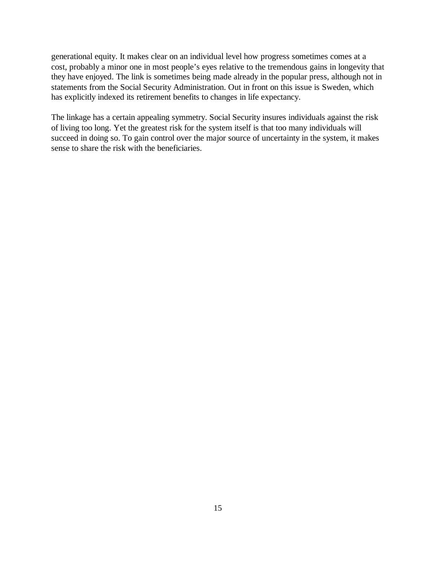generational equity. It makes clear on an individual level how progress sometimes comes at a cost, probably a minor one in most people's eyes relative to the tremendous gains in longevity that they have enjoyed. The link is sometimes being made already in the popular press, although not in statements from the Social Security Administration. Out in front on this issue is Sweden, which has explicitly indexed its retirement benefits to changes in life expectancy.

The linkage has a certain appealing symmetry. Social Security insures individuals against the risk of living too long. Yet the greatest risk for the system itself is that too many individuals will succeed in doing so. To gain control over the major source of uncertainty in the system, it makes sense to share the risk with the beneficiaries.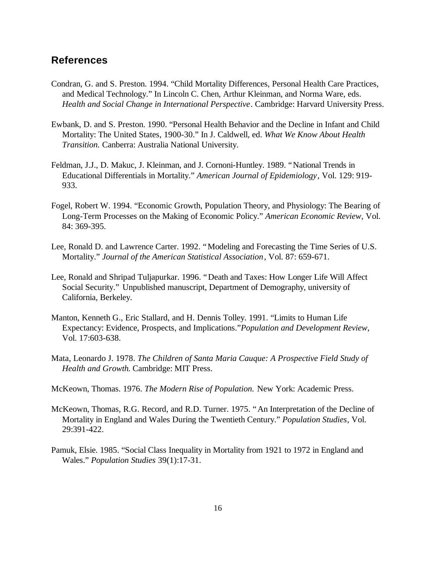## **References**

- Condran, G. and S. Preston. 1994. "Child Mortality Differences, Personal Health Care Practices, and Medical Technology." In Lincoln C. Chen, Arthur Kleinman, and Norma Ware, eds. *Health and Social Change in International Perspective*. Cambridge: Harvard University Press.
- Ewbank, D. and S. Preston. 1990. "Personal Health Behavior and the Decline in Infant and Child Mortality: The United States, 1900-30." In J. Caldwell, ed. *What We Know About Health Transition.* Canberra: Australia National University.
- Feldman, J.J., D. Makuc, J. Kleinman, and J. Cornoni-Huntley. 1989. "National Trends in Educational Differentials in Mortality." *American Journal of Epidemiology*, Vol. 129: 919- 933.
- Fogel, Robert W. 1994. "Economic Growth, Population Theory, and Physiology: The Bearing of Long-Term Processes on the Making of Economic Policy." *American Economic Review*, Vol. 84: 369-395.
- Lee, Ronald D. and Lawrence Carter. 1992. "Modeling and Forecasting the Time Series of U.S. Mortality." *Journal of the American Statistical Association*, Vol. 87: 659-671.
- Lee, Ronald and Shripad Tuljapurkar. 1996. "Death and Taxes: How Longer Life Will Affect Social Security." Unpublished manuscript, Department of Demography, university of California, Berkeley.
- Manton, Kenneth G., Eric Stallard, and H. Dennis Tolley. 1991. "Limits to Human Life Expectancy: Evidence, Prospects, and Implications."*Population and Development Review*, Vol. 17:603-638.
- Mata, Leonardo J. 1978. *The Children of Santa Maria Cauque: A Prospective Field Study of Health and Growth*. Cambridge: MIT Press.
- McKeown, Thomas. 1976. *The Modern Rise of Population.* New York: Academic Press.
- McKeown, Thomas, R.G. Record, and R.D. Turner. 1975. "An Interpretation of the Decline of Mortality in England and Wales During the Twentieth Century." *Population Studies*, Vol. 29:391-422.
- Pamuk, Elsie. 1985. "Social Class Inequality in Mortality from 1921 to 1972 in England and Wales." *Population Studies* 39(1):17-31.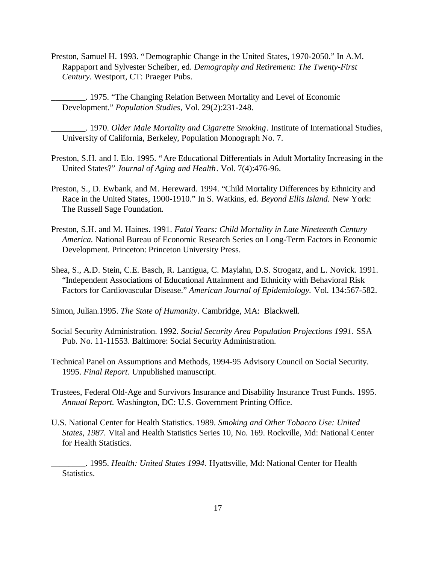Preston, Samuel H. 1993. "Demographic Change in the United States, 1970-2050." In A.M. Rappaport and Sylvester Scheiber, ed. *Demography and Retirement: The Twenty-First Century*. Westport, CT: Praeger Pubs.

\_\_\_\_\_\_\_\_. 1975. "The Changing Relation Between Mortality and Level of Economic Development." *Population Studies*, Vol. 29(2):231-248.

\_\_\_\_\_\_\_\_. 1970. *Older Male Mortality and Cigarette Smoking*. Institute of International Studies, University of California, Berkeley, Population Monograph No. 7.

- Preston, S.H. and I. Elo. 1995. "Are Educational Differentials in Adult Mortality Increasing in the United States?" *Journal of Aging and Health*. Vol. 7(4):476-96.
- Preston, S., D. Ewbank, and M. Hereward. 1994. "Child Mortality Differences by Ethnicity and Race in the United States, 1900-1910." In S. Watkins, ed. *Beyond Ellis Island.* New York: The Russell Sage Foundation.
- Preston, S.H. and M. Haines. 1991. *Fatal Years: Child Mortality in Late Nineteenth Century America.* National Bureau of Economic Research Series on Long-Term Factors in Economic Development. Princeton: Princeton University Press.
- Shea, S., A.D. Stein, C.E. Basch, R. Lantigua, C. Maylahn, D.S. Strogatz, and L. Novick. 1991. "Independent Associations of Educational Attainment and Ethnicity with Behavioral Risk Factors for Cardiovascular Disease." *American Journal of Epidemiology.* Vol. 134:567-582.

Simon, Julian.1995. *The State of Humanity*. Cambridge, MA: Blackwell.

- Social Security Administration. 1992. *Social Security Area Population Projections 1991.* SSA Pub. No. 11-11553. Baltimore: Social Security Administration.
- Technical Panel on Assumptions and Methods, 1994-95 Advisory Council on Social Security. 1995. *Final Report.* Unpublished manuscript.
- Trustees, Federal Old-Age and Survivors Insurance and Disability Insurance Trust Funds. 1995. *Annual Report.* Washington, DC: U.S. Government Printing Office.
- U.S. National Center for Health Statistics. 1989. *Smoking and Other Tobacco Use: United States, 1987.* Vital and Health Statistics Series 10, No. 169. Rockville, Md: National Center for Health Statistics.

\_\_\_\_\_\_\_\_. 1995. *Health: United States 1994.* Hyattsville, Md: National Center for Health Statistics.